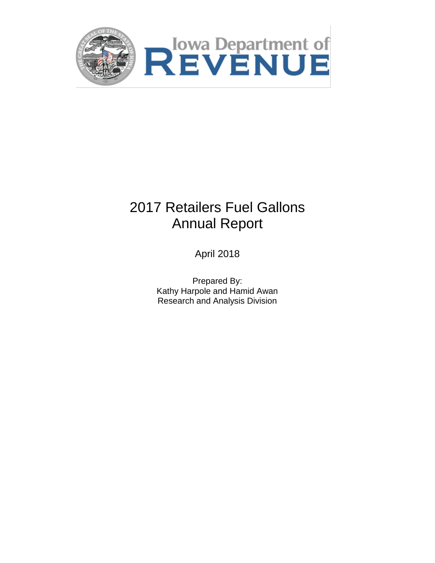

# 2017 Retailers Fuel Gallons Annual Report

April 2018

Prepared By: Kathy Harpole and Hamid Awan Research and Analysis Division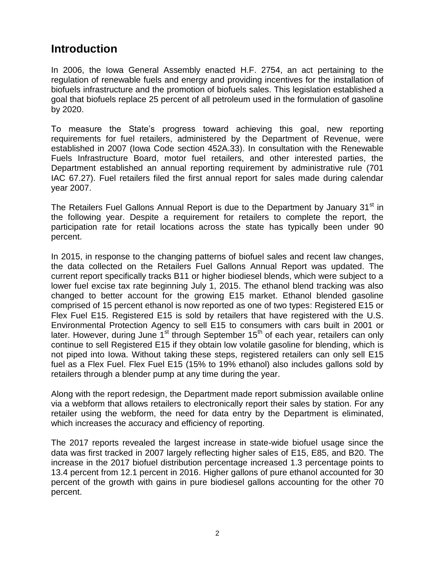### **Introduction**

In 2006, the Iowa General Assembly enacted H.F. 2754, an act pertaining to the regulation of renewable fuels and energy and providing incentives for the installation of biofuels infrastructure and the promotion of biofuels sales. This legislation established a goal that biofuels replace 25 percent of all petroleum used in the formulation of gasoline by 2020.

To measure the State's progress toward achieving this goal, new reporting requirements for fuel retailers, administered by the Department of Revenue, were established in 2007 (Iowa Code section 452A.33). In consultation with the Renewable Fuels Infrastructure Board, motor fuel retailers, and other interested parties, the Department established an annual reporting requirement by administrative rule (701 IAC 67.27). Fuel retailers filed the first annual report for sales made during calendar year 2007.

The Retailers Fuel Gallons Annual Report is due to the Department by January 31<sup>st</sup> in the following year. Despite a requirement for retailers to complete the report, the participation rate for retail locations across the state has typically been under 90 percent.

In 2015, in response to the changing patterns of biofuel sales and recent law changes, the data collected on the Retailers Fuel Gallons Annual Report was updated. The current report specifically tracks B11 or higher biodiesel blends, which were subject to a lower fuel excise tax rate beginning July 1, 2015. The ethanol blend tracking was also changed to better account for the growing E15 market. Ethanol blended gasoline comprised of 15 percent ethanol is now reported as one of two types: Registered E15 or Flex Fuel E15. Registered E15 is sold by retailers that have registered with the U.S. Environmental Protection Agency to sell E15 to consumers with cars built in 2001 or later. However, during June  $1<sup>st</sup>$  through September 15<sup>th</sup> of each year, retailers can only continue to sell Registered E15 if they obtain low volatile gasoline for blending, which is not piped into Iowa. Without taking these steps, registered retailers can only sell E15 fuel as a Flex Fuel. Flex Fuel E15 (15% to 19% ethanol) also includes gallons sold by retailers through a blender pump at any time during the year.

Along with the report redesign, the Department made report submission available online via a webform that allows retailers to electronically report their sales by station. For any retailer using the webform, the need for data entry by the Department is eliminated, which increases the accuracy and efficiency of reporting.

The 2017 reports revealed the largest increase in state-wide biofuel usage since the data was first tracked in 2007 largely reflecting higher sales of E15, E85, and B20. The increase in the 2017 biofuel distribution percentage increased 1.3 percentage points to 13.4 percent from 12.1 percent in 2016. Higher gallons of pure ethanol accounted for 30 percent of the growth with gains in pure biodiesel gallons accounting for the other 70 percent.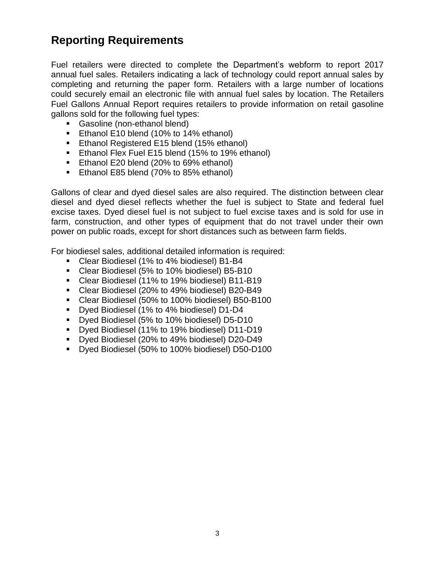### **Reporting Requirements**

Fuel retailers were directed to complete the Department's webform to report 2017 annual fuel sales. Retailers indicating a lack of technology could report annual sales by completing and returning the paper form. Retailers with a large number of locations could securely email an electronic file with annual fuel sales by location. The Retailers Fuel Gallons Annual Report requires retailers to provide information on retail gasoline gallons sold for the following fuel types:

- **Gasoline (non-ethanol blend)**
- **Ethanol E10 blend (10% to 14% ethanol)**
- **Ethanol Registered E15 blend (15% ethanol)**
- **Ethanol Flex Fuel E15 blend (15% to 19% ethanol)**
- Ethanol E20 blend (20% to 69% ethanol)
- Ethanol E85 blend (70% to 85% ethanol)

Gallons of clear and dyed diesel sales are also required. The distinction between clear diesel and dyed diesel reflects whether the fuel is subject to State and federal fuel excise taxes. Dyed diesel fuel is not subject to fuel excise taxes and is sold for use in farm, construction, and other types of equipment that do not travel under their own power on public roads, except for short distances such as between farm fields.

For biodiesel sales, additional detailed information is required:

- Clear Biodiesel (1% to 4% biodiesel) B1-B4
- Clear Biodiesel (5% to 10% biodiesel) B5-B10
- Clear Biodiesel (11% to 19% biodiesel) B11-B19
- Clear Biodiesel (20% to 49% biodiesel) B20-B49
- Clear Biodiesel (50% to 100% biodiesel) B50-B100
- Dyed Biodiesel (1% to 4% biodiesel) D1-D4
- Dyed Biodiesel (5% to 10% biodiesel) D5-D10
- Dved Biodiesel (11% to 19% biodiesel) D11-D19
- Dyed Biodiesel (20% to 49% biodiesel) D20-D49
- **Dyed Biodiesel (50% to 100% biodiesel) D50-D100**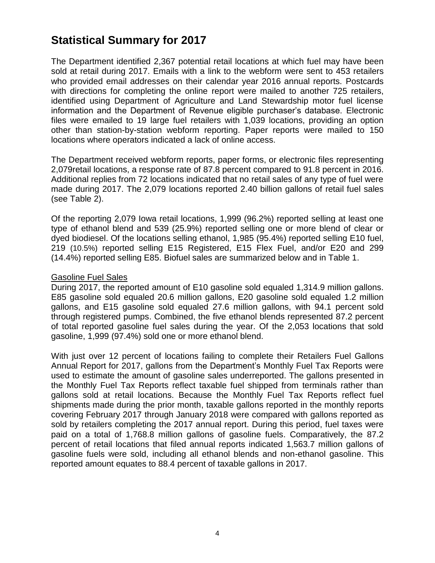### **Statistical Summary for 2017**

The Department identified 2,367 potential retail locations at which fuel may have been sold at retail during 2017. Emails with a link to the webform were sent to 453 retailers who provided email addresses on their calendar year 2016 annual reports. Postcards with directions for completing the online report were mailed to another 725 retailers, identified using Department of Agriculture and Land Stewardship motor fuel license information and the Department of Revenue eligible purchaser's database. Electronic files were emailed to 19 large fuel retailers with 1,039 locations, providing an option other than station-by-station webform reporting. Paper reports were mailed to 150 locations where operators indicated a lack of online access.

The Department received webform reports, paper forms, or electronic files representing 2,079retail locations, a response rate of 87.8 percent compared to 91.8 percent in 2016. Additional replies from 72 locations indicated that no retail sales of any type of fuel were made during 2017. The 2,079 locations reported 2.40 billion gallons of retail fuel sales (see Table 2).

Of the reporting 2,079 Iowa retail locations, 1,999 (96.2%) reported selling at least one type of ethanol blend and 539 (25.9%) reported selling one or more blend of clear or dyed biodiesel. Of the locations selling ethanol, 1,985 (95.4%) reported selling E10 fuel, 219 (10.5%) reported selling E15 Registered, E15 Flex Fuel, and/or E20 and 299 (14.4%) reported selling E85. Biofuel sales are summarized below and in Table 1.

#### Gasoline Fuel Sales

During 2017, the reported amount of E10 gasoline sold equaled 1,314.9 million gallons. E85 gasoline sold equaled 20.6 million gallons, E20 gasoline sold equaled 1.2 million gallons, and E15 gasoline sold equaled 27.6 million gallons, with 94.1 percent sold through registered pumps. Combined, the five ethanol blends represented 87.2 percent of total reported gasoline fuel sales during the year. Of the 2,053 locations that sold gasoline, 1,999 (97.4%) sold one or more ethanol blend.

With just over 12 percent of locations failing to complete their Retailers Fuel Gallons Annual Report for 2017, gallons from the Department's Monthly Fuel Tax Reports were used to estimate the amount of gasoline sales underreported. The gallons presented in the Monthly Fuel Tax Reports reflect taxable fuel shipped from terminals rather than gallons sold at retail locations. Because the Monthly Fuel Tax Reports reflect fuel shipments made during the prior month, taxable gallons reported in the monthly reports covering February 2017 through January 2018 were compared with gallons reported as sold by retailers completing the 2017 annual report. During this period, fuel taxes were paid on a total of 1,768.8 million gallons of gasoline fuels. Comparatively, the 87.2 percent of retail locations that filed annual reports indicated 1,563.7 million gallons of gasoline fuels were sold, including all ethanol blends and non-ethanol gasoline. This reported amount equates to 88.4 percent of taxable gallons in 2017.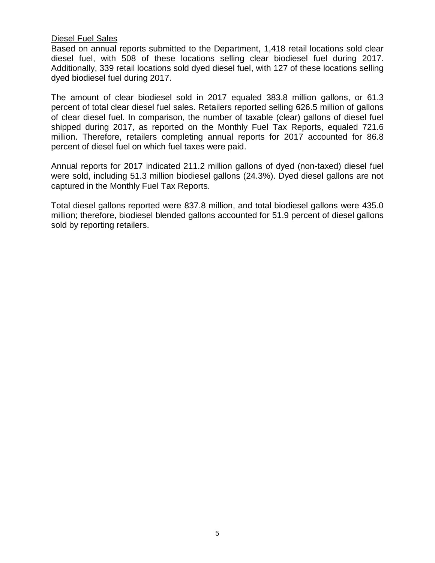#### Diesel Fuel Sales

Based on annual reports submitted to the Department, 1,418 retail locations sold clear diesel fuel, with 508 of these locations selling clear biodiesel fuel during 2017. Additionally, 339 retail locations sold dyed diesel fuel, with 127 of these locations selling dyed biodiesel fuel during 2017.

The amount of clear biodiesel sold in 2017 equaled 383.8 million gallons, or 61.3 percent of total clear diesel fuel sales. Retailers reported selling 626.5 million of gallons of clear diesel fuel. In comparison, the number of taxable (clear) gallons of diesel fuel shipped during 2017, as reported on the Monthly Fuel Tax Reports, equaled 721.6 million. Therefore, retailers completing annual reports for 2017 accounted for 86.8 percent of diesel fuel on which fuel taxes were paid.

Annual reports for 2017 indicated 211.2 million gallons of dyed (non-taxed) diesel fuel were sold, including 51.3 million biodiesel gallons (24.3%). Dyed diesel gallons are not captured in the Monthly Fuel Tax Reports.

Total diesel gallons reported were 837.8 million, and total biodiesel gallons were 435.0 million; therefore, biodiesel blended gallons accounted for 51.9 percent of diesel gallons sold by reporting retailers.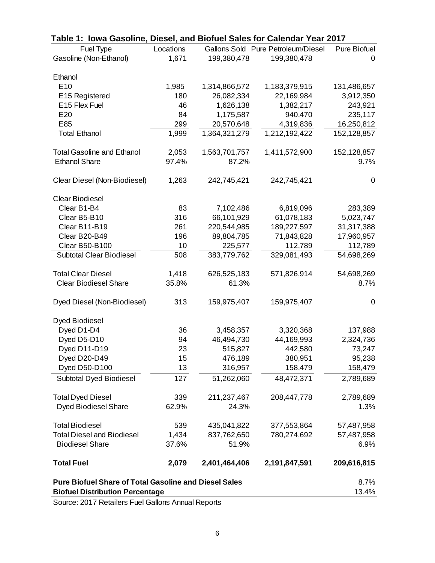| Table 1: Iowa Gasoline, Diesel, and Biofuel Sales for Calendar Year 2017 |           |               |                                    |              |  |  |
|--------------------------------------------------------------------------|-----------|---------------|------------------------------------|--------------|--|--|
| Fuel Type                                                                | Locations |               | Gallons Sold Pure Petroleum/Diesel | Pure Biofuel |  |  |
| Gasoline (Non-Ethanol)                                                   | 1,671     | 199,380,478   | 199,380,478                        | 0            |  |  |
|                                                                          |           |               |                                    |              |  |  |
| Ethanol                                                                  |           |               |                                    |              |  |  |
| E <sub>10</sub>                                                          | 1,985     | 1,314,866,572 | 1,183,379,915                      | 131,486,657  |  |  |
| E15 Registered                                                           | 180       | 26,082,334    | 22,169,984                         | 3,912,350    |  |  |
| E15 Flex Fuel                                                            | 46        | 1,626,138     | 1,382,217                          | 243,921      |  |  |
| E20                                                                      | 84        | 1,175,587     | 940,470                            | 235,117      |  |  |
| E85                                                                      | 299       | 20,570,648    | 4,319,836                          | 16,250,812   |  |  |
| <b>Total Ethanol</b>                                                     | 1,999     | 1,364,321,279 | 1,212,192,422                      | 152,128,857  |  |  |
| <b>Total Gasoline and Ethanol</b>                                        | 2,053     | 1,563,701,757 | 1,411,572,900                      | 152,128,857  |  |  |
| <b>Ethanol Share</b>                                                     | 97.4%     | 87.2%         |                                    | 9.7%         |  |  |
|                                                                          |           |               |                                    |              |  |  |
| Clear Diesel (Non-Biodiesel)                                             | 1,263     | 242,745,421   | 242,745,421                        | $\mathbf 0$  |  |  |
|                                                                          |           |               |                                    |              |  |  |
| <b>Clear Biodiesel</b>                                                   |           |               |                                    |              |  |  |
| Clear B1-B4                                                              | 83        | 7,102,486     | 6,819,096                          | 283,389      |  |  |
| Clear B5-B10                                                             | 316       | 66,101,929    | 61,078,183                         | 5,023,747    |  |  |
| Clear B11-B19                                                            | 261       | 220,544,985   | 189,227,597                        | 31,317,388   |  |  |
| Clear B20-B49                                                            | 196       | 89,804,785    | 71,843,828                         | 17,960,957   |  |  |
| Clear B50-B100                                                           | 10        | 225,577       | 112,789                            | 112,789      |  |  |
| <b>Subtotal Clear Biodiesel</b>                                          | 508       | 383,779,762   | 329,081,493                        | 54,698,269   |  |  |
| <b>Total Clear Diesel</b>                                                | 1,418     | 626,525,183   | 571,826,914                        | 54,698,269   |  |  |
| <b>Clear Biodiesel Share</b>                                             | 35.8%     | 61.3%         |                                    | 8.7%         |  |  |
|                                                                          |           |               |                                    |              |  |  |
| Dyed Diesel (Non-Biodiesel)                                              | 313       | 159,975,407   | 159,975,407                        | 0            |  |  |
| <b>Dyed Biodiesel</b>                                                    |           |               |                                    |              |  |  |
| Dyed D1-D4                                                               | 36        | 3,458,357     | 3,320,368                          | 137,988      |  |  |
| Dyed D5-D10                                                              | 94        | 46,494,730    | 44,169,993                         | 2,324,736    |  |  |
| Dyed D11-D19                                                             | 23        | 515,827       | 442,580                            | 73,247       |  |  |
| Dyed D20-D49                                                             | 15        | 476,189       | 380,951                            | 95,238       |  |  |
| Dyed D50-D100                                                            | 13        | 316,957       | 158,479                            | 158,479      |  |  |
| Subtotal Dyed Biodiesel                                                  | 127       | 51,262,060    | 48,472,371                         | 2,789,689    |  |  |
|                                                                          |           |               |                                    |              |  |  |
| <b>Total Dyed Diesel</b>                                                 | 339       | 211,237,467   | 208,447,778                        | 2,789,689    |  |  |
| <b>Dyed Biodiesel Share</b>                                              | 62.9%     | 24.3%         |                                    | 1.3%         |  |  |
| <b>Total Biodiesel</b>                                                   | 539       | 435,041,822   | 377,553,864                        | 57,487,958   |  |  |
| <b>Total Diesel and Biodiesel</b>                                        | 1,434     | 837,762,650   | 780,274,692                        |              |  |  |
|                                                                          | 37.6%     |               |                                    | 57,487,958   |  |  |
| <b>Biodiesel Share</b>                                                   |           | 51.9%         |                                    | 6.9%         |  |  |
| <b>Total Fuel</b>                                                        | 2,079     | 2,401,464,406 | 2,191,847,591                      | 209,616,815  |  |  |
| <b>Pure Biofuel Share of Total Gasoline and Diesel Sales</b>             |           |               |                                    | 8.7%         |  |  |
| <b>Biofuel Distribution Percentage</b>                                   |           |               |                                    |              |  |  |

Source: 2017 Retailers Fuel Gallons Annual Reports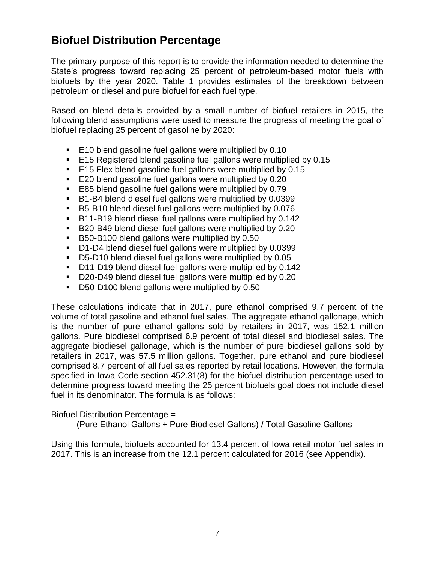### **Biofuel Distribution Percentage**

The primary purpose of this report is to provide the information needed to determine the State's progress toward replacing 25 percent of petroleum-based motor fuels with biofuels by the year 2020. Table 1 provides estimates of the breakdown between petroleum or diesel and pure biofuel for each fuel type.

Based on blend details provided by a small number of biofuel retailers in 2015, the following blend assumptions were used to measure the progress of meeting the goal of biofuel replacing 25 percent of gasoline by 2020:

- E10 blend gasoline fuel gallons were multiplied by 0.10
- E15 Registered blend gasoline fuel gallons were multiplied by 0.15
- E15 Flex blend gasoline fuel gallons were multiplied by 0.15
- E20 blend gasoline fuel gallons were multiplied by 0.20
- E85 blend gasoline fuel gallons were multiplied by 0.79
- B1-B4 blend diesel fuel gallons were multiplied by 0.0399
- B5-B10 blend diesel fuel gallons were multiplied by 0.076
- B11-B19 blend diesel fuel gallons were multiplied by 0.142
- B20-B49 blend diesel fuel gallons were multiplied by 0.20
- B50-B100 blend gallons were multiplied by 0.50
- D1-D4 blend diesel fuel gallons were multiplied by 0.0399
- D5-D10 blend diesel fuel gallons were multiplied by 0.05
- D11-D19 blend diesel fuel gallons were multiplied by 0.142
- D20-D49 blend diesel fuel gallons were multiplied by 0.20
- D50-D100 blend gallons were multiplied by 0.50

These calculations indicate that in 2017, pure ethanol comprised 9.7 percent of the volume of total gasoline and ethanol fuel sales. The aggregate ethanol gallonage, which is the number of pure ethanol gallons sold by retailers in 2017, was 152.1 million gallons. Pure biodiesel comprised 6.9 percent of total diesel and biodiesel sales. The aggregate biodiesel gallonage, which is the number of pure biodiesel gallons sold by retailers in 2017, was 57.5 million gallons. Together, pure ethanol and pure biodiesel comprised 8.7 percent of all fuel sales reported by retail locations. However, the formula specified in Iowa Code section 452.31(8) for the biofuel distribution percentage used to determine progress toward meeting the 25 percent biofuels goal does not include diesel fuel in its denominator. The formula is as follows:

Biofuel Distribution Percentage =

(Pure Ethanol Gallons + Pure Biodiesel Gallons) / Total Gasoline Gallons

Using this formula, biofuels accounted for 13.4 percent of Iowa retail motor fuel sales in 2017. This is an increase from the 12.1 percent calculated for 2016 (see Appendix).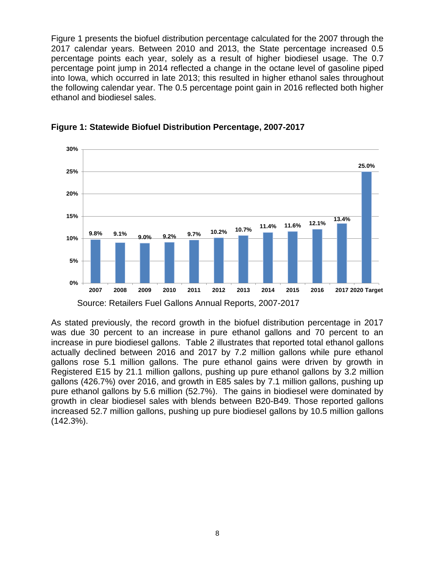Figure 1 presents the biofuel distribution percentage calculated for the 2007 through the 2017 calendar years. Between 2010 and 2013, the State percentage increased 0.5 percentage points each year, solely as a result of higher biodiesel usage. The 0.7 percentage point jump in 2014 reflected a change in the octane level of gasoline piped into Iowa, which occurred in late 2013; this resulted in higher ethanol sales throughout the following calendar year. The 0.5 percentage point gain in 2016 reflected both higher ethanol and biodiesel sales.



**Figure 1: Statewide Biofuel Distribution Percentage, 2007-2017**

As stated previously, the record growth in the biofuel distribution percentage in 2017 was due 30 percent to an increase in pure ethanol gallons and 70 percent to an increase in pure biodiesel gallons. Table 2 illustrates that reported total ethanol gallons actually declined between 2016 and 2017 by 7.2 million gallons while pure ethanol gallons rose 5.1 million gallons. The pure ethanol gains were driven by growth in Registered E15 by 21.1 million gallons, pushing up pure ethanol gallons by 3.2 million gallons (426.7%) over 2016, and growth in E85 sales by 7.1 million gallons, pushing up pure ethanol gallons by 5.6 million (52.7%). The gains in biodiesel were dominated by growth in clear biodiesel sales with blends between B20-B49. Those reported gallons increased 52.7 million gallons, pushing up pure biodiesel gallons by 10.5 million gallons (142.3%).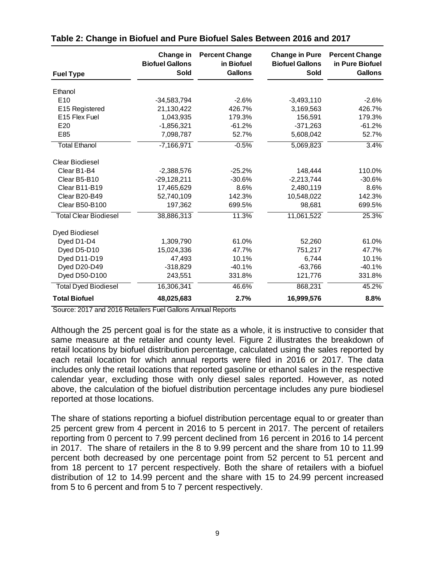| <b>Fuel Type</b>             | Change in<br><b>Biofuel Gallons</b><br>Sold | <b>Percent Change</b><br>in Biofuel<br><b>Gallons</b> | <b>Change in Pure</b><br><b>Biofuel Gallons</b><br>Sold | <b>Percent Change</b><br>in Pure Biofuel<br><b>Gallons</b> |
|------------------------------|---------------------------------------------|-------------------------------------------------------|---------------------------------------------------------|------------------------------------------------------------|
| Ethanol                      |                                             |                                                       |                                                         |                                                            |
| E <sub>10</sub>              | $-34,583,794$                               | $-2.6%$                                               | $-3,493,110$                                            | $-2.6%$                                                    |
| E15 Registered               | 21,130,422                                  | 426.7%                                                | 3,169,563                                               | 426.7%                                                     |
| E <sub>15</sub> Flex Fuel    | 1,043,935                                   | 179.3%                                                | 156,591                                                 | 179.3%                                                     |
| E20                          | $-1,856,321$                                | $-61.2%$                                              | $-371,263$                                              | $-61.2%$                                                   |
| E85                          | 7,098,787                                   | 52.7%                                                 | 5,608,042                                               | 52.7%                                                      |
| <b>Total Ethanol</b>         | $-7,166,971$                                | $-0.5%$                                               | 5,069,823                                               | 3.4%                                                       |
| <b>Clear Biodiesel</b>       |                                             |                                                       |                                                         |                                                            |
| Clear B1-B4                  | $-2,388,576$                                | $-25.2%$                                              | 148,444                                                 | 110.0%                                                     |
| Clear B5-B10                 | $-29,128,211$                               | $-30.6%$                                              | $-2,213,744$                                            | $-30.6%$                                                   |
| Clear B11-B19                | 17,465,629                                  | 8.6%                                                  | 2,480,119                                               | 8.6%                                                       |
| Clear B20-B49                | 52,740,109                                  | 142.3%                                                | 10,548,022                                              | 142.3%                                                     |
| <b>Clear B50-B100</b>        | 197,362                                     | 699.5%                                                | 98,681                                                  | 699.5%                                                     |
| <b>Total Clear Biodiesel</b> | 38,886,313                                  | 11.3%                                                 | 11,061,522                                              | 25.3%                                                      |
| Dyed Biodiesel               |                                             |                                                       |                                                         |                                                            |
| Dyed D1-D4                   | 1,309,790                                   | 61.0%                                                 | 52,260                                                  | 61.0%                                                      |
| Dyed D5-D10                  | 15,024,336                                  | 47.7%                                                 | 751,217                                                 | 47.7%                                                      |
| Dyed D11-D19                 | 47,493                                      | 10.1%                                                 | 6,744                                                   | 10.1%                                                      |
| Dyed D20-D49                 | $-318,829$                                  | $-40.1%$                                              | $-63,766$                                               | $-40.1%$                                                   |
| Dyed D50-D100                | 243,551                                     | 331.8%                                                | 121,776                                                 | 331.8%                                                     |
| <b>Total Dyed Biodiesel</b>  | 16,306,341                                  | 46.6%                                                 | 868,231                                                 | 45.2%                                                      |
| <b>Total Biofuel</b>         | 48,025,683                                  | 2.7%                                                  | 16,999,576                                              | 8.8%                                                       |

|  |  |  | Table 2: Change in Biofuel and Pure Biofuel Sales Between 2016 and 2017 |
|--|--|--|-------------------------------------------------------------------------|
|  |  |  |                                                                         |

Source: 2017 and 2016 Retailers Fuel Gallons Annual Reports

Although the 25 percent goal is for the state as a whole, it is instructive to consider that same measure at the retailer and county level. Figure 2 illustrates the breakdown of retail locations by biofuel distribution percentage, calculated using the sales reported by each retail location for which annual reports were filed in 2016 or 2017. The data includes only the retail locations that reported gasoline or ethanol sales in the respective calendar year, excluding those with only diesel sales reported. However, as noted above, the calculation of the biofuel distribution percentage includes any pure biodiesel reported at those locations.

The share of stations reporting a biofuel distribution percentage equal to or greater than 25 percent grew from 4 percent in 2016 to 5 percent in 2017. The percent of retailers reporting from 0 percent to 7.99 percent declined from 16 percent in 2016 to 14 percent in 2017. The share of retailers in the 8 to 9.99 percent and the share from 10 to 11.99 percent both decreased by one percentage point from 52 percent to 51 percent and from 18 percent to 17 percent respectively. Both the share of retailers with a biofuel distribution of 12 to 14.99 percent and the share with 15 to 24.99 percent increased from 5 to 6 percent and from 5 to 7 percent respectively.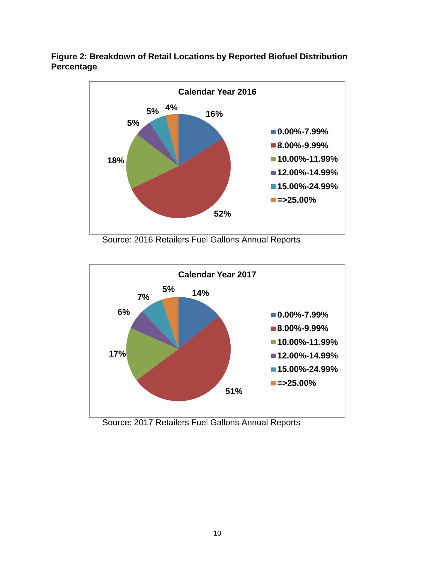



Source: 2016 Retailers Fuel Gallons Annual Reports



Source: 2017 Retailers Fuel Gallons Annual Reports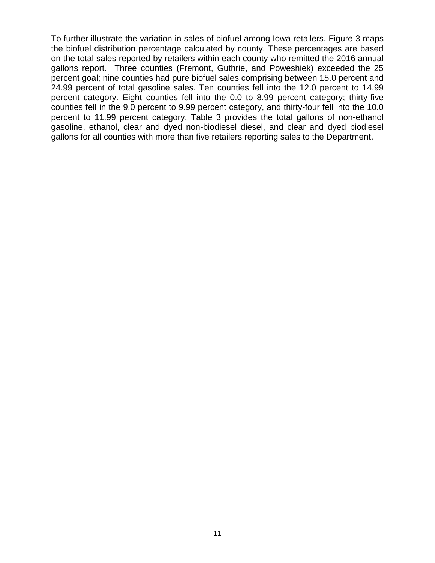To further illustrate the variation in sales of biofuel among Iowa retailers, Figure 3 maps the biofuel distribution percentage calculated by county. These percentages are based on the total sales reported by retailers within each county who remitted the 2016 annual gallons report. Three counties (Fremont, Guthrie, and Poweshiek) exceeded the 25 percent goal; nine counties had pure biofuel sales comprising between 15.0 percent and 24.99 percent of total gasoline sales. Ten counties fell into the 12.0 percent to 14.99 percent category. Eight counties fell into the 0.0 to 8.99 percent category; thirty-five counties fell in the 9.0 percent to 9.99 percent category, and thirty-four fell into the 10.0 percent to 11.99 percent category. Table 3 provides the total gallons of non-ethanol gasoline, ethanol, clear and dyed non-biodiesel diesel, and clear and dyed biodiesel gallons for all counties with more than five retailers reporting sales to the Department.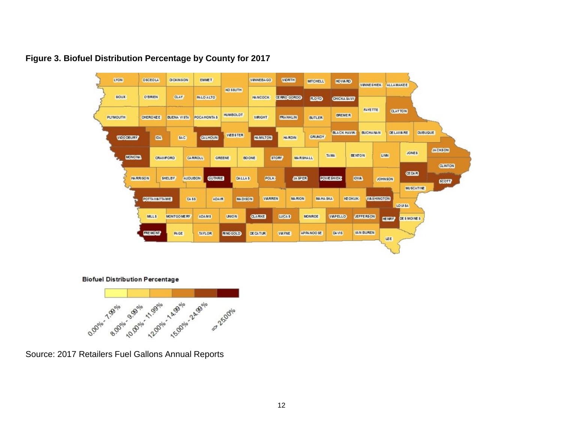

#### **Figure 3. Biofuel Distribution Percentage by County for 2017**

**Biofuel Distribution Percentage** 



Source: 2017 Retailers Fuel Gallons Annual Reports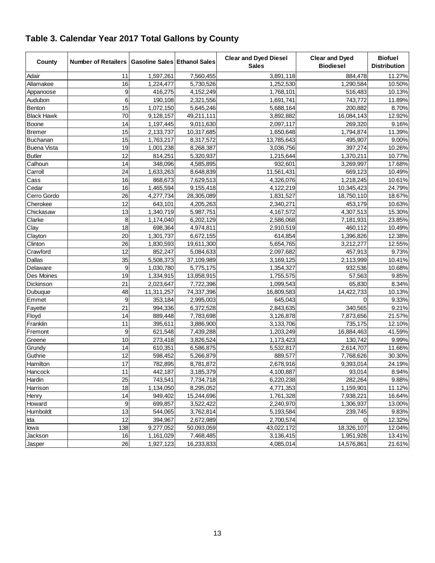| County             | Number of Retailers   Gasoline Sales   Ethanol Sales |            |            | <b>Clear and Dyed Diesel</b><br><b>Sales</b> | <b>Clear and Dyed</b><br><b>Biodiesel</b> | <b>Biofuel</b><br><b>Distribution</b> |
|--------------------|------------------------------------------------------|------------|------------|----------------------------------------------|-------------------------------------------|---------------------------------------|
| Adair              | 11                                                   | 1,597,261  | 7,560,455  | 3,891,118                                    | 884,478                                   | 11.27%                                |
| Allamakee          | 16                                                   | 1,224,477  | 5,730,526  | 1,252,530                                    | 1,290,584                                 | 10.50%                                |
| Appanoose          | 9                                                    | 416,275    | 4,152,249  | 1,768,101                                    | 516,483                                   | 10.13%                                |
| Audubon            | 6                                                    | 190,108    | 2,321,556  | 1,691,741                                    | 743,772                                   | 11.89%                                |
| Benton             | 15                                                   | 1,072,150  | 5,645,246  | 5,688,164                                    | 200,882                                   | 8.70%                                 |
| <b>Black Hawk</b>  | 70                                                   | 9,128,157  | 49,211,111 | 3,892,882                                    | 16,084,143                                | 12.92%                                |
| Boone              | 14                                                   | 1,197,445  | 9,011,630  | 2,097,117                                    | 269,320                                   | 9.16%                                 |
| <b>Bremer</b>      | 15                                                   | 2,133,737  | 10,317,685 | 1,650,648                                    | 1,794,874                                 | 11.39%                                |
| Buchanan           | 15                                                   | 1,763,217  | 8,317,572  | 13,785,643                                   | 495,907                                   | 9.00%                                 |
| <b>Buena Vista</b> | 19                                                   | 1,001,238  | 8,268,387  | 3,036,756                                    | 397,274                                   | 10.26%                                |
| <b>Butler</b>      | 12                                                   | 814,251    | 5,320,937  | 1,215,644                                    | 1,370,211                                 | 10.77%                                |
| Calhoun            | 14                                                   | 348,096    | 4,585,895  | 932,601                                      | 3,269,997                                 | 17.68%                                |
| Carroll            | 24                                                   | 1,633,263  | 8,648,839  | 11,561,431                                   | 669,123                                   | 10.49%                                |
| Cass               | 16                                                   | 868,673    | 7,629,513  | 4,326,076                                    | 1,218,245                                 | 10.61%                                |
| Cedar              | 16                                                   | 1,465,594  | 9,155,418  | 4,122,219                                    | 10,345,423                                | 24.79%                                |
| Cerro Gordo        | 26                                                   | 4,277,734  | 28,305,089 | 1,831,527                                    | 18,750,110                                | 18.67%                                |
| Cherokee           | 12                                                   | 643,101    | 4,205,263  | 2,340,271                                    | 453,179                                   | 10.63%                                |
| Chickasaw          | 13                                                   | 1,340,719  | 5,987,751  | 4, 167, 572                                  | 4,307,513                                 | 15.30%                                |
| Clarke             | 8                                                    | 1,174,040  | 6,202,129  | 2,586,068                                    | 7,181,931                                 | 23.85%                                |
| Clay               | 18                                                   | 698,364    | 4,974,811  | 2,910,519                                    | 460,112                                   | 10.49%                                |
| Clayton            | 20                                                   | 1,301,737  | 6,672,155  | 614,854                                      | 1,396,826                                 | 12.38%                                |
| Clinton            | 26                                                   | 1,830,593  | 19,611,300 | 5,654,765                                    | 3,212,277                                 | 12.55%                                |
| Crawford           | 12                                                   | 852,247    | 5,084,633  | 2,097,682                                    | 457,913                                   | 9.73%                                 |
| Dallas             | 35                                                   | 5,508,373  | 37,109,989 | 3,169,125                                    | 2,113,999                                 | 10.41%                                |
| Delaware           | $\boldsymbol{9}$                                     | 1,030,780  | 5,775,175  | 1,354,327                                    | 932,536                                   | 10.68%                                |
| Des Moines         | 19                                                   | 1,334,915  | 13,858,915 | 1,755,575                                    | 57,563                                    | 9.85%                                 |
| Dickinson          | 21                                                   | 2,023,647  | 7,722,396  | 1,099,543                                    | 65,830                                    | 8.34%                                 |
| Dubuque            | 48                                                   | 11,311,257 | 74,337,396 | 16,809,583                                   | 14,422,733                                | 10.13%                                |
| Emmet              | 9                                                    | 353,184    | 2,995,003  | 645,043                                      | 0                                         | 9.33%                                 |
| Fayette            | 21                                                   | 994,336    | 6,372,528  | 2,843,635                                    | 340,565                                   | 9.21%                                 |
| Floyd              | 14                                                   | 889,448    | 7,783,698  | 3,126,878                                    | 7,873,656                                 | 21.57%                                |
| Franklin           | 11                                                   | 395,611    | 3,886,900  | 3,133,706                                    | 735,175                                   | 12.10%                                |
| Fremont            | 9                                                    | 621,548    | 7,439,288  | 1,203,249                                    | 16,884,463                                | 41.59%                                |
| Greene             | 10                                                   | 273,418    | 3,826,524  | 1,173,423                                    | 130,742                                   | 9.99%                                 |
| Grundy             | 14                                                   | 610,351    | 6,586,875  | 5,532,817                                    | 2,614,707                                 | 11.66%                                |
| Guthrie            | 12                                                   | 598,452    | 5,266,879  | 889,577                                      | 7,768,626                                 | 30.30%                                |
| Hamilton           | 17                                                   | 782,895    | 8,781,872  | 2,678,916                                    | 9,393,014                                 | 24.19%                                |
| Hancock            | 11                                                   | 442,187    | 3,185,379  | 4,100,887                                    | 93,014                                    | 8.94%                                 |
| Hardin             | 25                                                   | 743,541    | 7,734,718  | 6,220,238                                    | 282,264                                   | 9.88%                                 |
| Harrison           | 18                                                   | 1,134,050  | 8,295,052  | 4,771,353                                    | 1,159,901                                 | 11.12%                                |
| Henry              | 14                                                   | 949,402    | 15,244,696 | 1,761,328                                    | 7,938,221                                 | 16.64%                                |
| Howard             | 9                                                    | 699,857    | 3,522,422  | 2,240,970                                    | 1,306,937                                 | 13.00%                                |
| Humboldt           | 13                                                   | 544,065    | 3,762,814  | 5,193,584                                    | 239,745                                   | 9.83%                                 |
| lda                | 12                                                   | 394,967    | 2,672,989  | 2,700,574                                    | 0                                         | 12.32%                                |
| lowa               | 138                                                  | 9,277,052  | 50,093,059 | 43,022,172                                   | 18,326,107                                | 12.04%                                |
| Jackson            | 16                                                   | 1,161,029  | 7,468,485  | 3,136,415                                    | 1,951,928                                 | 13.41%                                |
| Jasper             | 26                                                   | 1,927,123  | 16,233,833 | 4,085,014                                    | 14,576,861                                | 21.61%                                |

## **Table 3. Calendar Year 2017 Total Gallons by County**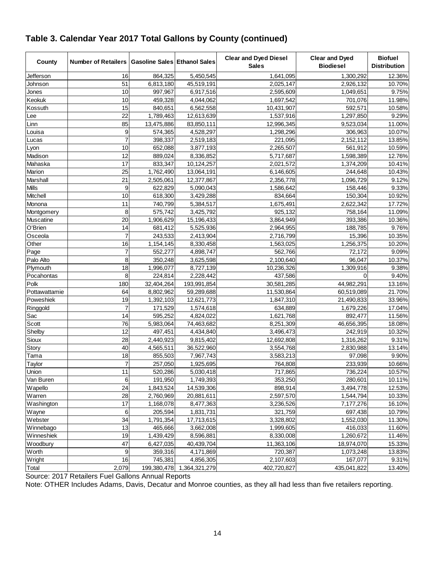| County           | Number of Retailers   Gasoline Sales   Ethanol Sales |            |                           | <b>Clear and Dyed Diesel</b><br><b>Sales</b> | <b>Clear and Dyed</b><br><b>Biodiesel</b> | <b>Biofuel</b><br><b>Distribution</b> |
|------------------|------------------------------------------------------|------------|---------------------------|----------------------------------------------|-------------------------------------------|---------------------------------------|
| Jefferson        | 16                                                   | 864,325    | 5,450,545                 | 1,641,095                                    | 1,300,292                                 | 12.36%                                |
| Johnson          | 51                                                   | 6,813,180  | 45,519,191                | 2,025,147                                    | 2,926,132                                 | 10.70%                                |
| Jones            | 10                                                   | 997,967    | 6,917,516                 | 2,595,609                                    | 1,049,651                                 | 9.75%                                 |
| Keokuk           | 10                                                   | 459,328    | 4,044,062                 | 1,697,542                                    | 701,076                                   | 11.98%                                |
| Kossuth          | 15                                                   | 840,651    | 6,562,558                 | 10,431,907                                   | 592,571                                   | 10.58%                                |
| Lee              | $\overline{22}$                                      | 1,789,463  | 12,613,639                | 1,537,916                                    | 1,297,850                                 | 9.29%                                 |
| Linn             | 85                                                   | 13,475,886 | 83,850,111                | 12,996,345                                   | 9,523,034                                 | 11.00%                                |
| Louisa           | 9                                                    | 574,365    | 4,528,297                 | 1,298,296                                    | 306,963                                   | 10.07%                                |
| Lucas            |                                                      | 398,337    | 2,519,183                 | 221,095                                      | 2,152,112                                 | 13.85%                                |
| Lyon             | 10                                                   | 652,088    | 3,877,193                 | 2,265,507                                    | 561,912                                   | 10.59%                                |
| Madison          | 12                                                   | 889,024    | 8,336,852                 | 5,717,687                                    | 1,598,389                                 | 12.76%                                |
| Mahaska          | 17                                                   | 833,347    | 10,124,257                | 2,021,572                                    | 1,374,209                                 | 10.41%                                |
| Marion           | 25                                                   | 1,762,490  | 13,064,191                | 6,146,605                                    | 244,648                                   | 10.43%                                |
| Marshall         | $\overline{21}$                                      | 2,505,061  | 12,377,867                | 2,356,778                                    | 1,096,729                                 | 9.12%                                 |
| Mills            | 9                                                    | 622,829    | 5,090,043                 | 1,586,642                                    | 158,446                                   | 9.33%                                 |
| Mitchell         | 10                                                   | 618,300    | 3,429,288                 | 834,664                                      | 150,304                                   | 10.92%                                |
| Monona           | 11                                                   | 740,799    | 5,384,517                 | 1,675,491                                    | 2,622,342                                 | 17.72%                                |
| Montgomery       | 8                                                    | 575,742    | 3,425,792                 | 925,132                                      | 758,164                                   | 11.09%                                |
| <b>Muscatine</b> | 20                                                   | 1,906,629  | 15,196,433                | 3,864,949                                    | 393,386                                   | 10.36%                                |
| O'Brien          | 14                                                   | 681,412    | 5,525,936                 | 2,964,955                                    | 188,785                                   | 9.76%                                 |
| Osceola          | $\overline{7}$                                       | 243,533    | 2,413,904                 | 2,716,799                                    | 15,396                                    | 10.35%                                |
| Other            | 16                                                   | 1,154,145  | 8,330,458                 | 1,563,025                                    | 1,256,375                                 | 10.20%                                |
| Page             | $\overline{7}$                                       | 552,277    | 4,898,747                 | 562,766                                      | 72,172                                    | 9.09%                                 |
| Palo Alto        | 8                                                    | 350,248    | 3,625,598                 | 2,100,640                                    | 96,047                                    | 10.37%                                |
| Plymouth         | 18                                                   | 1,996,077  | 8,727,139                 | 10,236,326                                   | 1,309,916                                 | 9.38%                                 |
| Pocahontas       | 8                                                    | 224,814    | 2,228,442                 | 437,586                                      | $\Omega$                                  | 9.40%                                 |
| Polk             | 180                                                  | 32,404,264 | 193,991,854               | 30,581,285                                   | 44,982,291                                | 13.16%                                |
| Pottawattamie    | 64                                                   | 8,802,962  | 59,289,688                | 11,530,864                                   | 60,519,089                                | 21.70%                                |
| Poweshiek        | 19                                                   | 1,392,103  | 12,621,773                | 1,847,310                                    | 21,490,833                                | 33.96%                                |
| Ringgold         | $\overline{7}$                                       | 171,529    | 1,574,618                 | 634,889                                      | 1,679,226                                 | 17.04%                                |
| Sac              | 14                                                   | 595,252    | 4,824,022                 | 1,621,768                                    | 892,477                                   | 11.56%                                |
| Scott            | 76                                                   | 5,983,064  | 74,463,682                | 8,251,309                                    | 46,656,395                                | 18.08%                                |
| Shelby           | 12                                                   | 497,451    | 4,434,840                 | 3,496,473                                    | 242,919                                   | 10.32%                                |
| Sioux            | 28                                                   | 2,440,923  | 9,815,402                 | 12,692,808                                   | 1,316,262                                 | 9.31%                                 |
| Story            | 40                                                   | 4,565,511  | 36,522,960                | 3,554,768                                    | 2,830,988                                 | 13.14%                                |
| Tama             | 18                                                   | 855,503    | 7,967,743                 | 3,583,213                                    | 97,098                                    | 9.90%                                 |
| Taylor           | $\overline{7}$                                       | 257,050    | 1,925,695                 | 764,808                                      | 233,939                                   | 10.66%                                |
| Union            | 11                                                   | 520,286    | 5,030,418                 | 717,865                                      | 736,224                                   | 10.57%                                |
| Van Buren        | 6                                                    | 191,950    | 1,749,393                 | 353,250                                      | 280,601                                   | 10.11%                                |
| Wapello          | 24                                                   | 1,843,524  | 14,539,306                | 898,914                                      | 3,494,778                                 | 12.53%                                |
| Warren           | 28                                                   | 2,760,969  | 20,881,611                | 2,597,570                                    | 1,544,794                                 | 10.33%                                |
| Washington       | 17                                                   | 1,168,078  | 8,477,363                 | 3,236,526                                    | 7,177,276                                 | 16.10%                                |
| Wayne            | 6                                                    | 205,594    | 1,831,731                 | 321,759                                      | 697,438                                   | 10.79%                                |
| Webster          | 34                                                   | 1,791,354  | 17,713,615                | 3,328,802                                    | 1,552,030                                 | 11.30%                                |
| Winnebago        | 13                                                   | 465,666    | 3,662,008                 | 1,999,605                                    | 416,033                                   | 11.60%                                |
| Winneshiek       | 19                                                   | 1,439,429  | 8,596,881                 | 8,330,008                                    | 1,260,672                                 | 11.46%                                |
| Woodbury         | 47                                                   | 6,427,035  | 40,439,704                | 11,363,106                                   | 18,974,070                                | 15.33%                                |
| Worth            | 9                                                    | 359,316    | 4,171,869                 | 720,387                                      | 1,073,248                                 | 13.83%                                |
| Wright           | 16                                                   | 745,381    | 4,856,305                 | 2,107,603                                    | 167,077                                   | 9.31%                                 |
| Total            | 2,079                                                |            | 199,380,478 1,364,321,279 | 402,720,827                                  | 435,041,822                               | 13.40%                                |

### **Table 3. Calendar Year 2017 Total Gallons by County (continued)**

Source: 2017 Retailers Fuel Gallons Annual Reports

Note: OTHER Includes Adams, Davis, Decatur and Monroe counties, as they all had less than five retailers reporting.